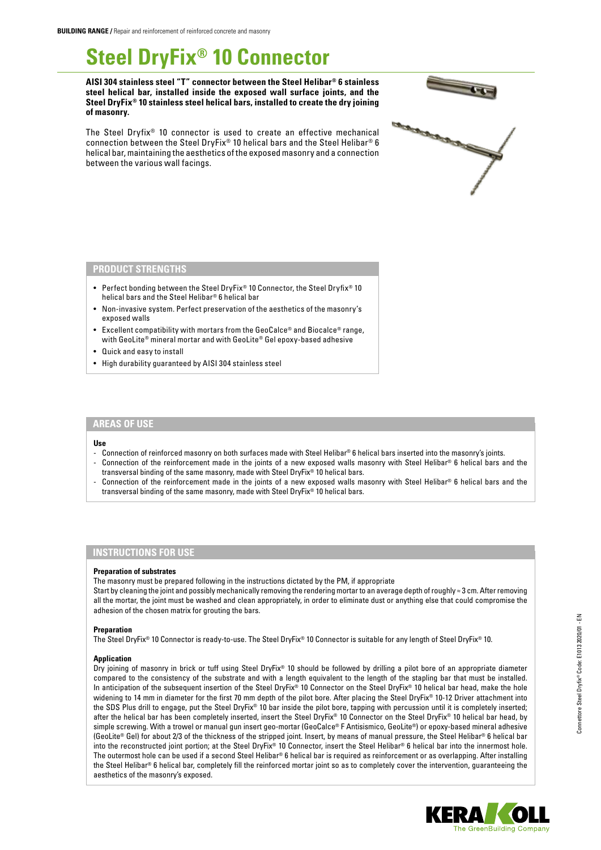# **Steel DryFix® 10 Connector**

**AISI 304 stainless steel "T" connector between the Steel Helibar® 6 stainless steel helical bar, installed inside the exposed wall surface joints, and the Steel DryFix® 10 stainless steel helical bars, installed to create the dry joining of masonry.**







## **PRODUCT STRENGTHS**

- Perfect bonding between the Steel DryFix® 10 Connector, the Steel Dryfix® 10 helical bars and the Steel Helibar® 6 helical bar
- Non-invasive system. Perfect preservation of the aesthetics of the masonry's exposed walls
- Excellent compatibility with mortars from the GeoCalce® and Biocalce® range, with GeoLite® mineral mortar and with GeoLite® Gel epoxy-based adhesive
- Quick and easy to install
- High durability guaranteed by AISI 304 stainless steel

### **AREAS OF USE**

#### **Use**

- Connection of reinforced masonry on both surfaces made with Steel Helibar® 6 helical bars inserted into the masonry's joints.
- Connection of the reinforcement made in the joints of a new exposed walls masonry with Steel Helibar® 6 helical bars and the transversal binding of the same masonry, made with Steel DryFix® 10 helical bars.
- Connection of the reinforcement made in the joints of a new exposed walls masonry with Steel Helibar® 6 helical bars and the transversal binding of the same masonry, made with Steel DryFix® 10 helical bars.

# **INSTRUCTIONS FOR USE**

#### **Preparation of substrates**

The masonry must be prepared following in the instructions dictated by the PM, if appropriate

Start by cleaning the joint and possibly mechanically removing the rendering mortar to an average depth of roughly ≈ 3 cm. After removing all the mortar, the joint must be washed and clean appropriately, in order to eliminate dust or anything else that could compromise the adhesion of the chosen matrix for grouting the bars.

#### **Preparation**

The Steel DryFix® 10 Connector is ready-to-use. The Steel DryFix® 10 Connector is suitable for any length of Steel DryFix® 10.

#### **Application**

Dry joining of masonry in brick or tuff using Steel DryFix® 10 should be followed by drilling a pilot bore of an appropriate diameter compared to the consistency of the substrate and with a length equivalent to the length of the stapling bar that must be installed. In anticipation of the subsequent insertion of the Steel DryFix® 10 Connector on the Steel DryFix® 10 helical bar head, make the hole widening to 14 mm in diameter for the first 70 mm depth of the pilot bore. After placing the Steel DryFix® 10-12 Driver attachment into the SDS Plus drill to engage, put the Steel DryFix® 10 bar inside the pilot bore, tapping with percussion until it is completely inserted; after the helical bar has been completely inserted, insert the Steel DryFix® 10 Connector on the Steel DryFix® 10 helical bar head, by simple screwing. With a trowel or manual gun insert geo-mortar (GeoCalce® F Antisismico, GeoLite®) or epoxy-based mineral adhesive (GeoLite® Gel) for about 2/3 of the thickness of the stripped joint. Insert, by means of manual pressure, the Steel Helibar® 6 helical bar into the reconstructed joint portion; at the Steel DryFix® 10 Connector, insert the Steel Helibar® 6 helical bar into the innermost hole. The outermost hole can be used if a second Steel Helibar® 6 helical bar is required as reinforcement or as overlapping. After installing the Steel Helibar® 6 helical bar, completely fill the reinforced mortar joint so as to completely cover the intervention, guaranteeing the aesthetics of the masonry's exposed.